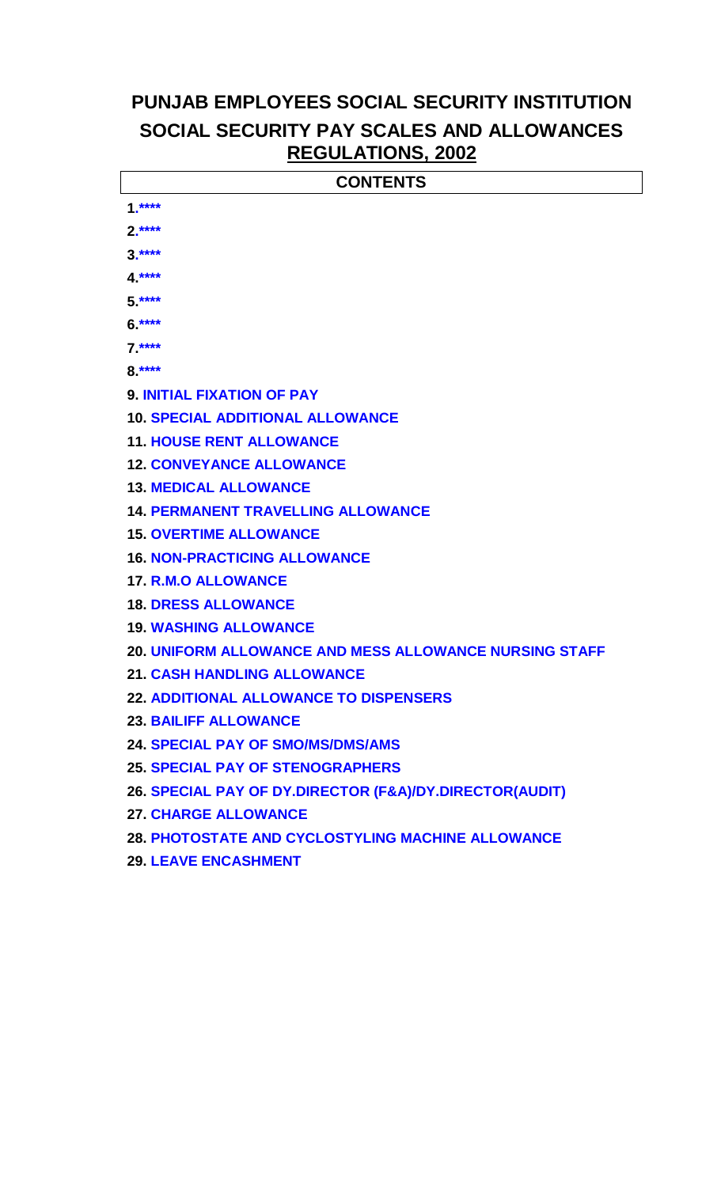# **PUNJAB EMPLOYEES SOCIAL SECURITY INSTITUTION SOCIAL SECURITY PAY SCALES AND ALLOWANCES REGULATIONS, 2002**

| $1.****$                                                      |
|---------------------------------------------------------------|
|                                                               |
| $2.***$                                                       |
| $3.***$                                                       |
| $4.***$                                                       |
| $5.***$                                                       |
| $6.***$                                                       |
| $7.***$                                                       |
| $8.***$                                                       |
| <b>9. INITIAL FIXATION OF PAY</b>                             |
| <b>10. SPECIAL ADDITIONAL ALLOWANCE</b>                       |
| <b>11. HOUSE RENT ALLOWANCE</b>                               |
| <b>12. CONVEYANCE ALLOWANCE</b>                               |
| <b>13. MEDICAL ALLOWANCE</b>                                  |
| <b>14. PERMANENT TRAVELLING ALLOWANCE</b>                     |
| <b>15. OVERTIME ALLOWANCE</b>                                 |
| <b>16. NON-PRACTICING ALLOWANCE</b>                           |
| <b>17. R.M.O ALLOWANCE</b>                                    |
| <b>18. DRESS ALLOWANCE</b>                                    |
| <b>19. WASHING ALLOWANCE</b>                                  |
| <b>20. UNIFORM ALLOWANCE AND MESS ALLOWANCE NURSING STAFF</b> |
| <b>21. CASH HANDLING ALLOWANCE</b>                            |
| <b>22. ADDITIONAL ALLOWANCE TO DISPENSERS</b>                 |
| <b>23. BAILIFF ALLOWANCE</b>                                  |
| <b>24. SPECIAL PAY OF SMO/MS/DMS/AMS</b>                      |
| <b>25. SPECIAL PAY OF STENOGRAPHERS</b>                       |
| 26. SPECIAL PAY OF DY.DIRECTOR (F&A)/DY.DIRECTOR(AUDIT)       |
| <b>27. CHARGE ALLOWANCE</b>                                   |
| 28. PHOTOSTATE AND CYCLOSTYLING MACHINE ALLOWANCE             |
| <b>29. LEAVE ENCASHMENT</b>                                   |
|                                                               |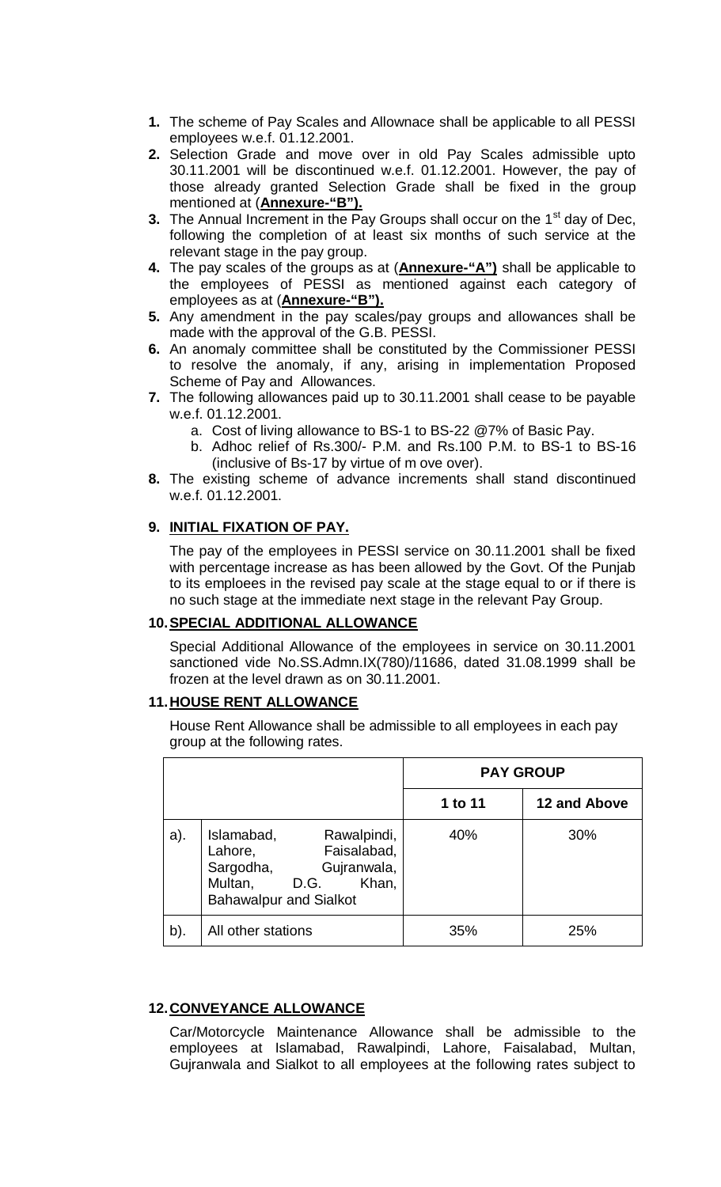- **1.** The scheme of Pay Scales and Allownace shall be applicable to all PESSI employees w.e.f. 01.12.2001.
- **2.** Selection Grade and move over in old Pay Scales admissible upto 30.11.2001 will be discontinued w.e.f. 01.12.2001. However, the pay of those already granted Selection Grade shall be fixed in the group mentioned at (**Annexure-"B").**
- **3.** The Annual Increment in the Pay Groups shall occur on the 1<sup>st</sup> day of Dec, following the completion of at least six months of such service at the relevant stage in the pay group.
- **4.** The pay scales of the groups as at (**Annexure-"A")** shall be applicable to the employees of PESSI as mentioned against each category of employees as at (**Annexure-"B").**
- **5.** Any amendment in the pay scales/pay groups and allowances shall be made with the approval of the G.B. PESSI.
- **6.** An anomaly committee shall be constituted by the Commissioner PESSI to resolve the anomaly, if any, arising in implementation Proposed Scheme of Pay and Allowances.
- **7.** The following allowances paid up to 30.11.2001 shall cease to be payable w.e.f. 01.12.2001.
	- a. Cost of living allowance to BS-1 to BS-22 @7% of Basic Pay.
	- b. Adhoc relief of Rs.300/- P.M. and Rs.100 P.M. to BS-1 to BS-16 (inclusive of Bs-17 by virtue of m ove over).
- **8.** The existing scheme of advance increments shall stand discontinued w.e.f. 01.12.2001.

#### **9. INITIAL FIXATION OF PAY.**

The pay of the employees in PESSI service on 30.11.2001 shall be fixed with percentage increase as has been allowed by the Govt. Of the Punjab to its emploees in the revised pay scale at the stage equal to or if there is no such stage at the immediate next stage in the relevant Pay Group.

#### **10.SPECIAL ADDITIONAL ALLOWANCE**

Special Additional Allowance of the employees in service on 30.11.2001 sanctioned vide No.SS.Admn.IX(780)/11686, dated 31.08.1999 shall be frozen at the level drawn as on 30.11.2001.

#### **11.HOUSE RENT ALLOWANCE**

House Rent Allowance shall be admissible to all employees in each pay group at the following rates.

|        |                                                                                                                                              | <b>PAY GROUP</b> |              |
|--------|----------------------------------------------------------------------------------------------------------------------------------------------|------------------|--------------|
|        |                                                                                                                                              | 1 to 11          | 12 and Above |
| a).    | Islamabad,<br>Rawalpindi,<br>Faisalabad,<br>Lahore,<br>Sargodha,<br>Gujranwala,<br>Multan,<br>Khan,<br>D.G.<br><b>Bahawalpur and Sialkot</b> | 40%              | 30%          |
| $b$ ). | All other stations                                                                                                                           | 35%              | 25%          |

#### **12.CONVEYANCE ALLOWANCE**

Car/Motorcycle Maintenance Allowance shall be admissible to the employees at Islamabad, Rawalpindi, Lahore, Faisalabad, Multan, Gujranwala and Sialkot to all employees at the following rates subject to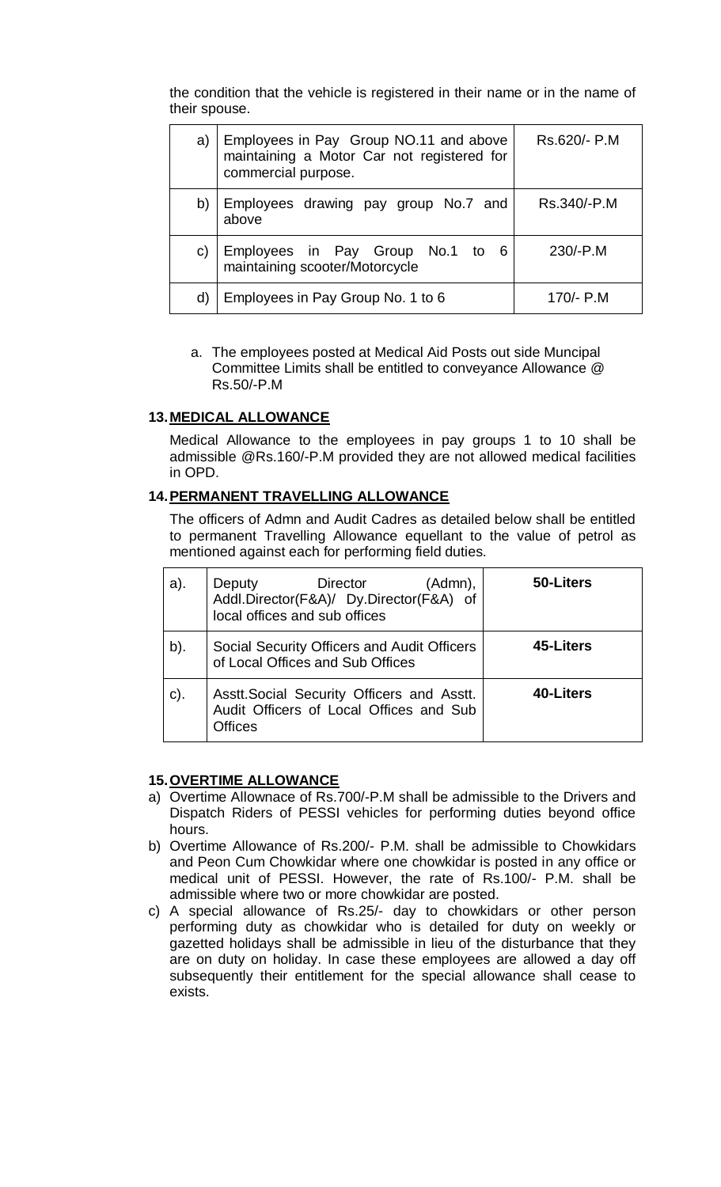the condition that the vehicle is registered in their name or in the name of their spouse.

| a) | Employees in Pay Group NO.11 and above<br>maintaining a Motor Car not registered for<br>commercial purpose. | Rs.620/- P.M |
|----|-------------------------------------------------------------------------------------------------------------|--------------|
| b) | Employees drawing pay group No.7 and<br>above                                                               | Rs.340/-P.M  |
| C) | Employees in Pay Group No.1 to 6<br>maintaining scooter/Motorcycle                                          | $230/-P.M$   |
|    | Employees in Pay Group No. 1 to 6                                                                           | 170/- P.M    |

a. The employees posted at Medical Aid Posts out side Muncipal Committee Limits shall be entitled to conveyance Allowance @ Rs.50/-P.M

#### **13.MEDICAL ALLOWANCE**

Medical Allowance to the employees in pay groups 1 to 10 shall be admissible @Rs.160/-P.M provided they are not allowed medical facilities in OPD.

#### **14.PERMANENT TRAVELLING ALLOWANCE**

The officers of Admn and Audit Cadres as detailed below shall be entitled to permanent Travelling Allowance equellant to the value of petrol as mentioned against each for performing field duties.

| a).             | (Admn),<br>Director<br><b>Deputy</b><br>Addl.Director(F&A)/ Dy.Director(F&A) of<br>local offices and sub offices | 50-Liters |
|-----------------|------------------------------------------------------------------------------------------------------------------|-----------|
| b).             | Social Security Officers and Audit Officers<br>of Local Offices and Sub Offices                                  | 45-Liters |
| $\mathsf{c}$ ). | Asstt. Social Security Officers and Asstt.<br>Audit Officers of Local Offices and Sub<br><b>Offices</b>          | 40-Liters |

#### **15.OVERTIME ALLOWANCE**

- a) Overtime Allownace of Rs.700/-P.M shall be admissible to the Drivers and Dispatch Riders of PESSI vehicles for performing duties beyond office hours.
- b) Overtime Allowance of Rs.200/- P.M. shall be admissible to Chowkidars and Peon Cum Chowkidar where one chowkidar is posted in any office or medical unit of PESSI. However, the rate of Rs.100/- P.M. shall be admissible where two or more chowkidar are posted.
- c) A special allowance of Rs.25/- day to chowkidars or other person performing duty as chowkidar who is detailed for duty on weekly or gazetted holidays shall be admissible in lieu of the disturbance that they are on duty on holiday. In case these employees are allowed a day off subsequently their entitlement for the special allowance shall cease to exists.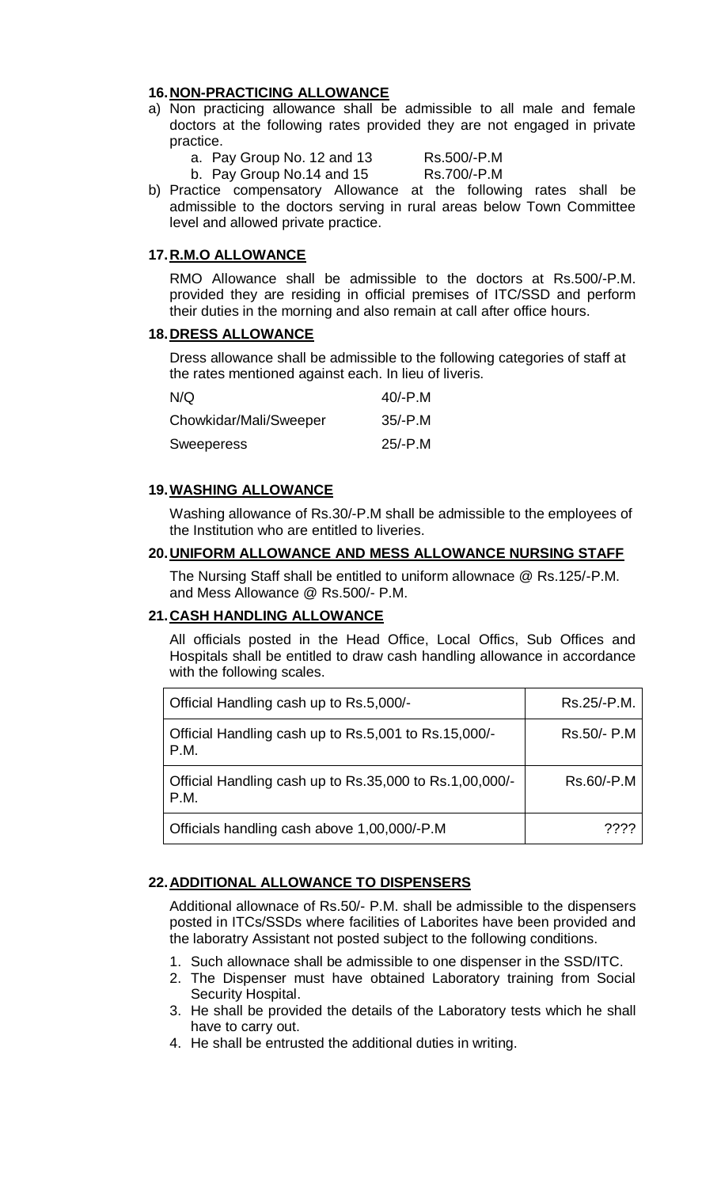#### **16.NON-PRACTICING ALLOWANCE**

- a) Non practicing allowance shall be admissible to all male and female doctors at the following rates provided they are not engaged in private practice.
	- a. Pay Group No. 12 and 13 Rs.500/-P.M

b. Pay Group No.14 and 15 Rs.700/-P.M

b) Practice compensatory Allowance at the following rates shall be admissible to the doctors serving in rural areas below Town Committee level and allowed private practice.

#### **17.R.M.O ALLOWANCE**

RMO Allowance shall be admissible to the doctors at Rs.500/-P.M. provided they are residing in official premises of ITC/SSD and perform their duties in the morning and also remain at call after office hours.

#### **18.DRESS ALLOWANCE**

Dress allowance shall be admissible to the following categories of staff at the rates mentioned against each. In lieu of liveris.

| N/Q                    | $40/-P.M$ |
|------------------------|-----------|
| Chowkidar/Mali/Sweeper | $35/-P.M$ |
| Sweeperess             | $25/-P.M$ |

#### **19.WASHING ALLOWANCE**

Washing allowance of Rs.30/-P.M shall be admissible to the employees of the Institution who are entitled to liveries.

#### **20.UNIFORM ALLOWANCE AND MESS ALLOWANCE NURSING STAFF**

The Nursing Staff shall be entitled to uniform allownace @ Rs.125/-P.M. and Mess Allowance @ Rs.500/- P.M.

#### **21.CASH HANDLING ALLOWANCE**

All officials posted in the Head Office, Local Offics, Sub Offices and Hospitals shall be entitled to draw cash handling allowance in accordance with the following scales.

| Official Handling cash up to Rs.5,000/-                         | Rs.25/-P.M. |
|-----------------------------------------------------------------|-------------|
| Official Handling cash up to Rs.5,001 to Rs.15,000/-<br>P.M.    | Rs.50/- P.M |
| Official Handling cash up to Rs.35,000 to Rs.1,00,000/-<br>P.M. | Rs.60/-P.M  |
| Officials handling cash above 1,00,000/-P.M                     | ????        |

#### **22.ADDITIONAL ALLOWANCE TO DISPENSERS**

Additional allownace of Rs.50/- P.M. shall be admissible to the dispensers posted in ITCs/SSDs where facilities of Laborites have been provided and the laboratry Assistant not posted subject to the following conditions.

- 1. Such allownace shall be admissible to one dispenser in the SSD/ITC.
- 2. The Dispenser must have obtained Laboratory training from Social Security Hospital.
- 3. He shall be provided the details of the Laboratory tests which he shall have to carry out.
- 4. He shall be entrusted the additional duties in writing.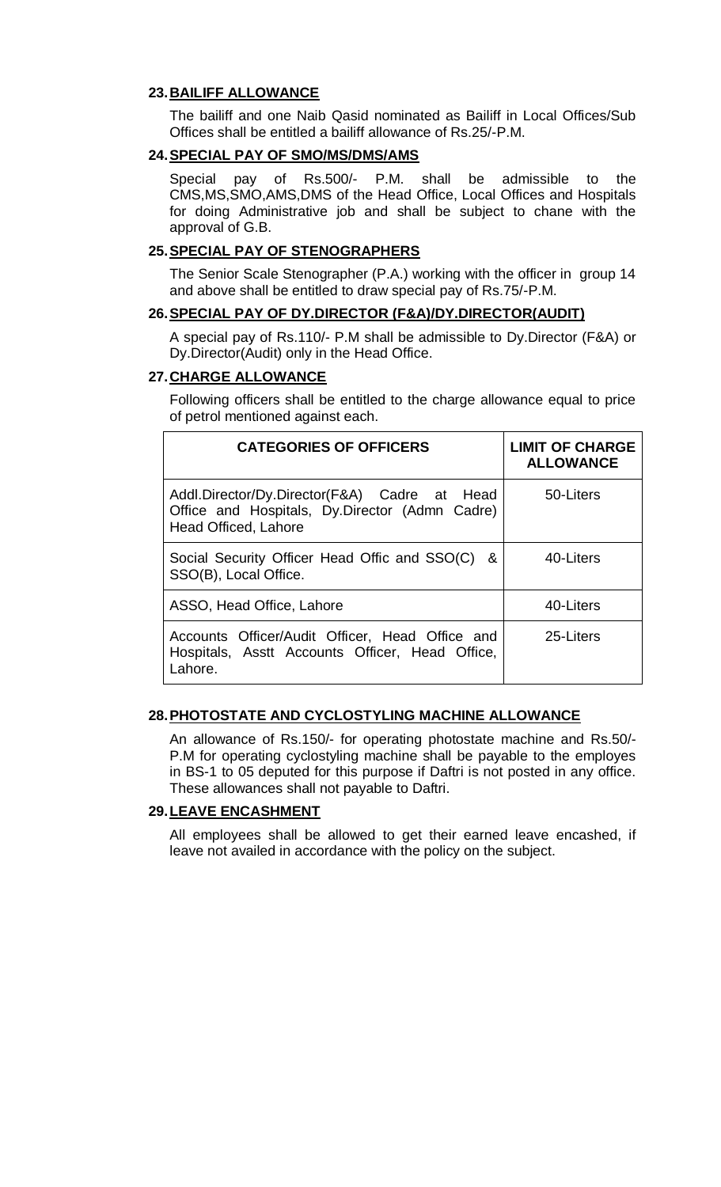#### **23.BAILIFF ALLOWANCE**

The bailiff and one Naib Qasid nominated as Bailiff in Local Offices/Sub Offices shall be entitled a bailiff allowance of Rs.25/-P.M.

#### **24.SPECIAL PAY OF SMO/MS/DMS/AMS**

Special pay of Rs.500/- P.M. shall be admissible to the CMS,MS,SMO,AMS,DMS of the Head Office, Local Offices and Hospitals for doing Administrative job and shall be subject to chane with the approval of G.B.

#### **25.SPECIAL PAY OF STENOGRAPHERS**

The Senior Scale Stenographer (P.A.) working with the officer in group 14 and above shall be entitled to draw special pay of Rs.75/-P.M.

#### **26.SPECIAL PAY OF DY.DIRECTOR (F&A)/DY.DIRECTOR(AUDIT)**

A special pay of Rs.110/- P.M shall be admissible to Dy.Director (F&A) or Dy.Director(Audit) only in the Head Office.

#### **27.CHARGE ALLOWANCE**

Following officers shall be entitled to the charge allowance equal to price of petrol mentioned against each.

| <b>CATEGORIES OF OFFICERS</b>                                                                                          | <b>LIMIT OF CHARGE</b><br><b>ALLOWANCE</b> |
|------------------------------------------------------------------------------------------------------------------------|--------------------------------------------|
| Addl.Director/Dy.Director(F&A) Cadre at Head<br>Office and Hospitals, Dy.Director (Admn Cadre)<br>Head Officed, Lahore | 50-Liters                                  |
| Social Security Officer Head Offic and SSO(C)<br>&<br>SSO(B), Local Office.                                            | 40-Liters                                  |
| ASSO, Head Office, Lahore                                                                                              | 40-Liters                                  |
| Accounts Officer/Audit Officer, Head Office and<br>Hospitals, Asstt Accounts Officer, Head Office,<br>Lahore.          | 25-Liters                                  |

#### **28.PHOTOSTATE AND CYCLOSTYLING MACHINE ALLOWANCE**

An allowance of Rs.150/- for operating photostate machine and Rs.50/- P.M for operating cyclostyling machine shall be payable to the employes in BS-1 to 05 deputed for this purpose if Daftri is not posted in any office. These allowances shall not payable to Daftri.

#### **29.LEAVE ENCASHMENT**

All employees shall be allowed to get their earned leave encashed, if leave not availed in accordance with the policy on the subject.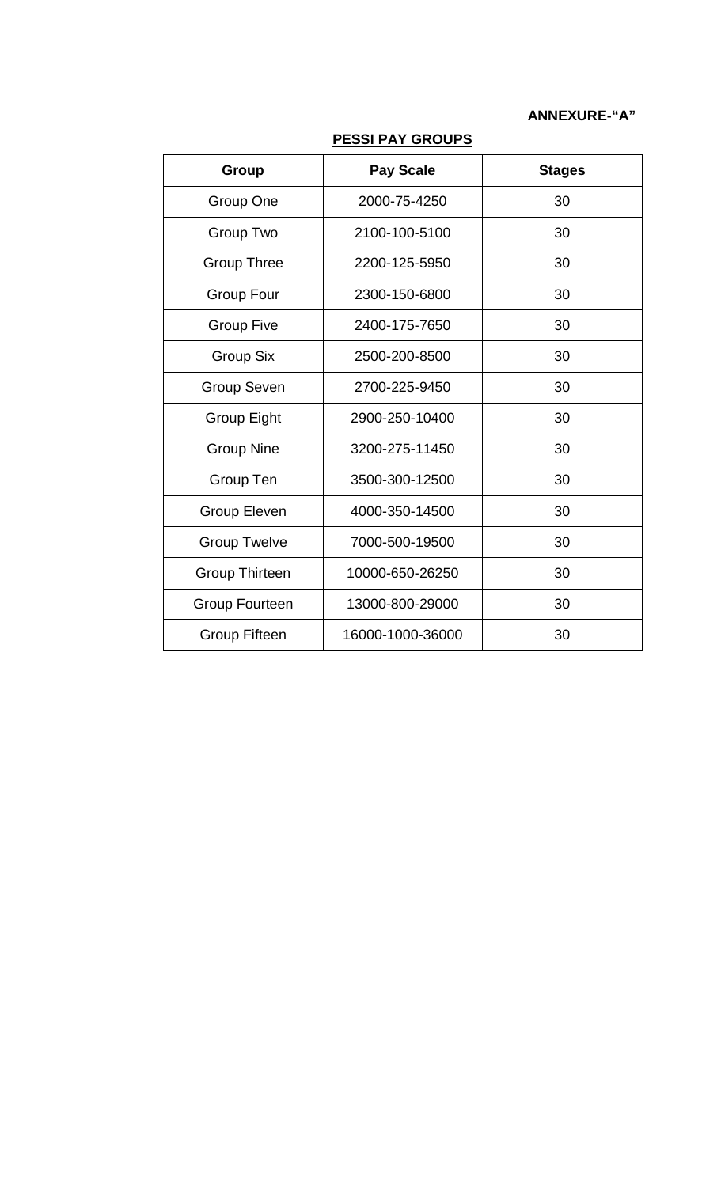#### **ANNEXURE-"A"**

| Group                 | <b>Pay Scale</b> | <b>Stages</b> |
|-----------------------|------------------|---------------|
| Group One             | 2000-75-4250     | 30            |
| Group Two             | 2100-100-5100    | 30            |
| <b>Group Three</b>    | 2200-125-5950    | 30            |
| <b>Group Four</b>     | 2300-150-6800    | 30            |
| <b>Group Five</b>     | 2400-175-7650    | 30            |
| Group Six             | 2500-200-8500    | 30            |
| <b>Group Seven</b>    | 2700-225-9450    | 30            |
| <b>Group Eight</b>    | 2900-250-10400   | 30            |
| <b>Group Nine</b>     | 3200-275-11450   | 30            |
| Group Ten             | 3500-300-12500   | 30            |
| Group Eleven          | 4000-350-14500   | 30            |
| <b>Group Twelve</b>   | 7000-500-19500   | 30            |
| <b>Group Thirteen</b> | 10000-650-26250  | 30            |
| <b>Group Fourteen</b> | 13000-800-29000  | 30            |
| <b>Group Fifteen</b>  | 16000-1000-36000 | 30            |

### **PESSI PAY GROUPS**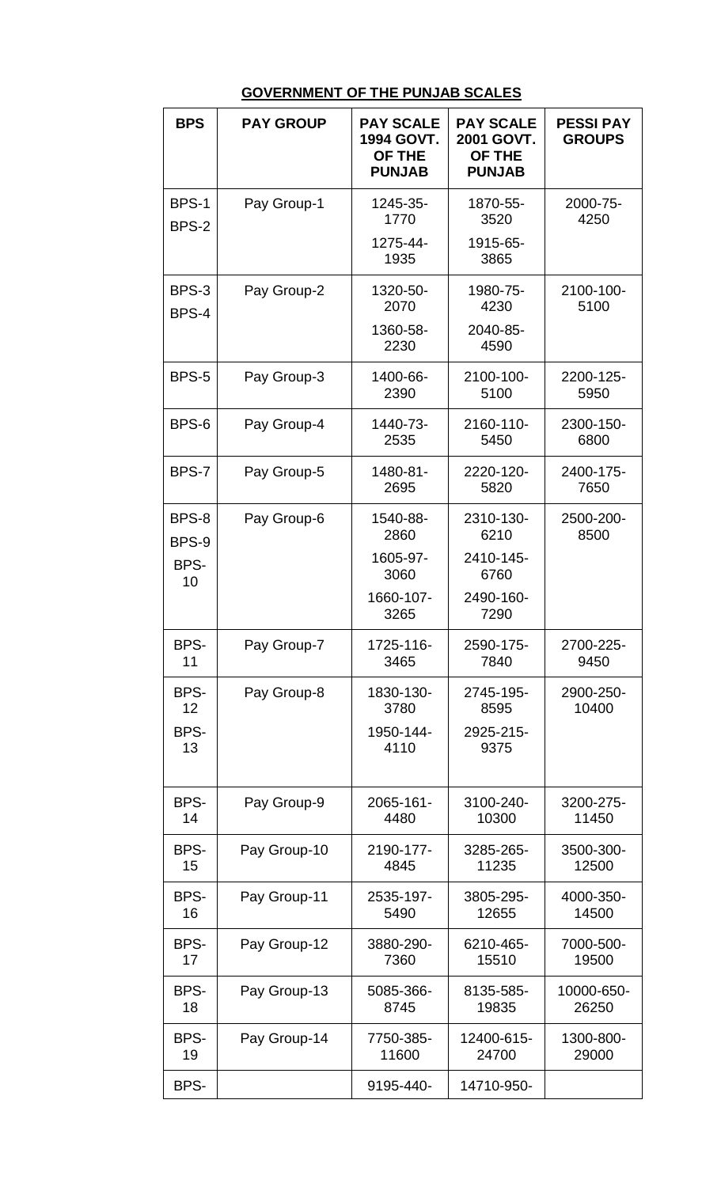# **GOVERNMENT OF THE PUNJAB SCALES**

| <b>BPS</b>   | <b>PAY GROUP</b> | <b>PAY SCALE</b><br>1994 GOVT.<br>OF THE<br><b>PUNJAB</b> | <b>PAY SCALE</b><br>2001 GOVT.<br><b>OF THE</b><br><b>PUNJAB</b> | <b>PESSI PAY</b><br><b>GROUPS</b> |
|--------------|------------------|-----------------------------------------------------------|------------------------------------------------------------------|-----------------------------------|
| BPS-1        | Pay Group-1      | 1245-35-                                                  | 1870-55-                                                         | 2000-75-                          |
| <b>BPS-2</b> |                  | 1770                                                      | 3520                                                             | 4250                              |
|              |                  | 1275-44-<br>1935                                          | 1915-65-<br>3865                                                 |                                   |
| BPS-3        | Pay Group-2      | 1320-50-                                                  | 1980-75-                                                         | 2100-100-                         |
| BPS-4        |                  | 2070                                                      | 4230                                                             | 5100                              |
|              |                  | 1360-58-<br>2230                                          | 2040-85-<br>4590                                                 |                                   |
| BPS-5        | Pay Group-3      | 1400-66-<br>2390                                          | 2100-100-<br>5100                                                | 2200-125-<br>5950                 |
| BPS-6        | Pay Group-4      | 1440-73-<br>2535                                          | 2160-110-<br>5450                                                | 2300-150-<br>6800                 |
| BPS-7        | Pay Group-5      | 1480-81-<br>2695                                          | 2220-120-<br>5820                                                | 2400-175-<br>7650                 |
| BPS-8        | Pay Group-6      | 1540-88-                                                  | 2310-130-                                                        | 2500-200-                         |
| BPS-9        |                  | 2860                                                      | 6210                                                             | 8500                              |
| BPS-<br>10   |                  | 1605-97-<br>3060                                          | 2410-145-<br>6760                                                |                                   |
|              |                  | 1660-107-<br>3265                                         | 2490-160-<br>7290                                                |                                   |
| BPS-         | Pay Group-7      | 1725-116-                                                 | 2590-175-                                                        | 2700-225-                         |
| 11           |                  | 3465                                                      | 7840                                                             | 9450                              |
| BPS-         | Pay Group-8      | 1830-130-                                                 | 2745-195-                                                        | 2900-250-                         |
| 12           |                  | 3780                                                      | 8595                                                             | 10400                             |
| BPS-<br>13   |                  | 1950-144-<br>4110                                         | 2925-215-<br>9375                                                |                                   |
| BPS-         | Pay Group-9      | 2065-161-                                                 | 3100-240-                                                        | 3200-275-                         |
| 14           |                  | 4480                                                      | 10300                                                            | 11450                             |
| BPS-         | Pay Group-10     | 2190-177-                                                 | 3285-265-                                                        | 3500-300-                         |
| 15           |                  | 4845                                                      | 11235                                                            | 12500                             |
| BPS-         | Pay Group-11     | 2535-197-                                                 | 3805-295-                                                        | 4000-350-                         |
| 16           |                  | 5490                                                      | 12655                                                            | 14500                             |
| BPS-         | Pay Group-12     | 3880-290-                                                 | 6210-465-                                                        | 7000-500-                         |
| 17           |                  | 7360                                                      | 15510                                                            | 19500                             |
| BPS-         | Pay Group-13     | 5085-366-                                                 | 8135-585-                                                        | 10000-650-                        |
| 18           |                  | 8745                                                      | 19835                                                            | 26250                             |
| BPS-         | Pay Group-14     | 7750-385-                                                 | 12400-615-                                                       | 1300-800-                         |
| 19           |                  | 11600                                                     | 24700                                                            | 29000                             |
| BPS-         |                  | 9195-440-                                                 | 14710-950-                                                       |                                   |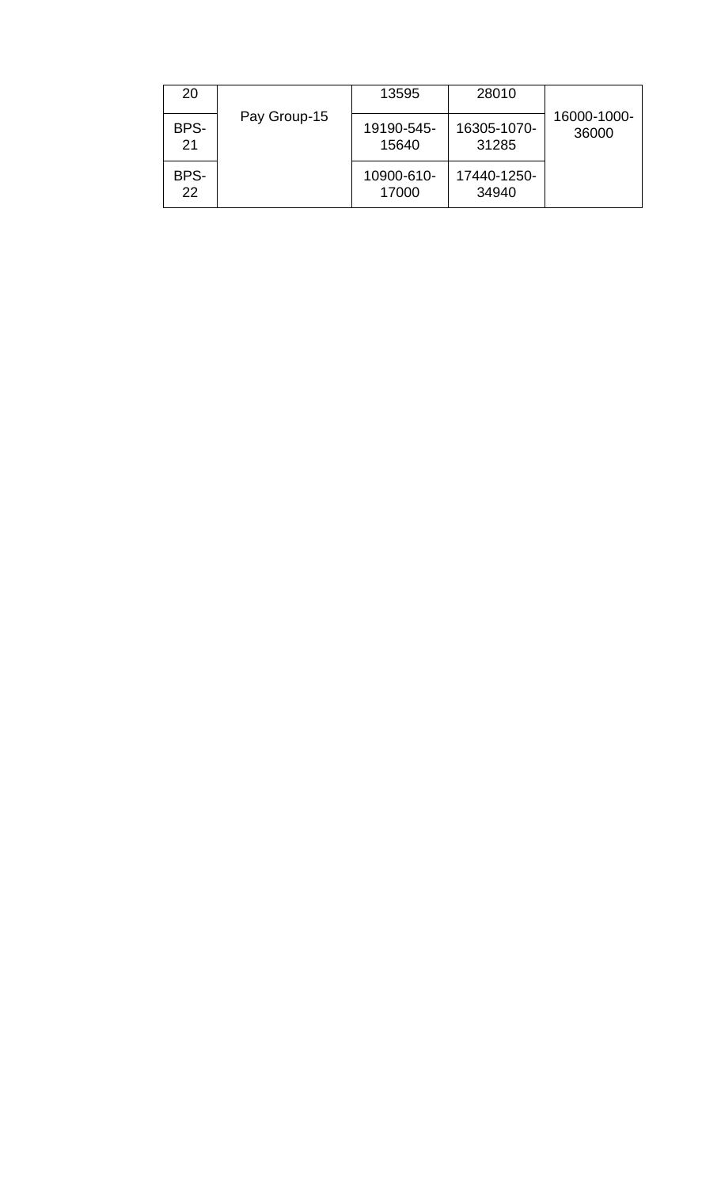| 20         |              | 13595               | 28010                |                      |
|------------|--------------|---------------------|----------------------|----------------------|
| BPS-<br>21 | Pay Group-15 | 19190-545-<br>15640 | 16305-1070-<br>31285 | 16000-1000-<br>36000 |
| BPS-<br>22 |              | 10900-610-<br>17000 | 17440-1250-<br>34940 |                      |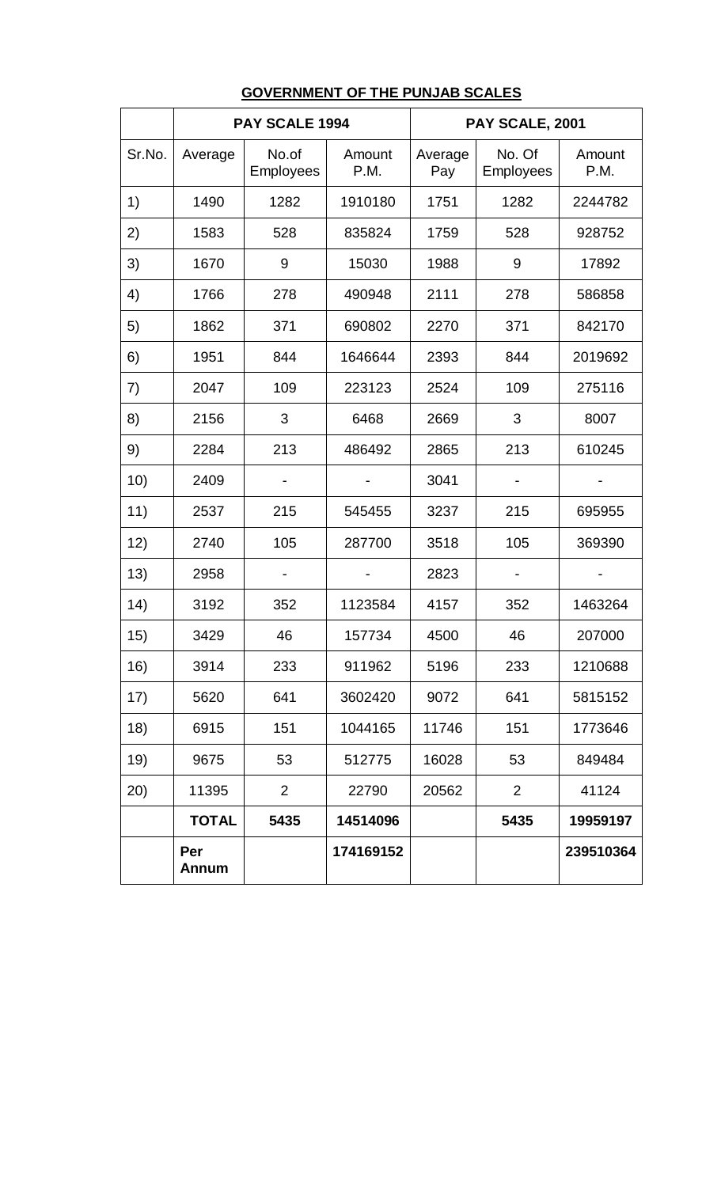|        |                     | PAY SCALE 1994            |                | PAY SCALE, 2001 |                            |                |  |
|--------|---------------------|---------------------------|----------------|-----------------|----------------------------|----------------|--|
| Sr.No. | Average             | No.of<br><b>Employees</b> | Amount<br>P.M. | Average<br>Pay  | No. Of<br><b>Employees</b> | Amount<br>P.M. |  |
| 1)     | 1490                | 1282                      | 1910180        | 1751            | 1282                       | 2244782        |  |
| 2)     | 1583                | 528                       | 835824         | 1759            | 528                        | 928752         |  |
| 3)     | 1670                | 9                         | 15030          | 1988            | 9                          | 17892          |  |
| 4)     | 1766                | 278                       | 490948         | 2111            | 278                        | 586858         |  |
| 5)     | 1862                | 371                       | 690802         | 2270            | 371                        | 842170         |  |
| 6)     | 1951                | 844                       | 1646644        | 2393            | 844                        | 2019692        |  |
| 7)     | 2047                | 109                       | 223123         | 2524            | 109                        | 275116         |  |
| 8)     | 2156                | 3                         | 6468           | 2669            | 3                          | 8007           |  |
| 9)     | 2284                | 213                       | 486492         | 2865            | 213                        | 610245         |  |
| 10)    | 2409                |                           |                | 3041            |                            |                |  |
| 11)    | 2537                | 215                       | 545455         | 3237            | 215                        | 695955         |  |
| 12)    | 2740                | 105                       | 287700         | 3518            | 105                        | 369390         |  |
| 13)    | 2958                |                           |                | 2823            |                            |                |  |
| 14)    | 3192                | 352                       | 1123584        | 4157            | 352                        | 1463264        |  |
| 15)    | 3429                | 46                        | 157734         | 4500            | 46                         | 207000         |  |
| 16)    | 3914                | 233                       | 911962         | 5196            | 233                        | 1210688        |  |
| 17)    | 5620                | 641                       | 3602420        | 9072            | 641                        | 5815152        |  |
| 18)    | 6915                | 151                       | 1044165        | 11746           | 151                        | 1773646        |  |
| 19)    | 9675                | 53                        | 512775         | 16028           | 53                         | 849484         |  |
| (20)   | 11395               | $\overline{2}$            | 22790          | 20562           | 2                          | 41124          |  |
|        | <b>TOTAL</b>        | 5435                      | 14514096       |                 | 5435                       | 19959197       |  |
|        | Per<br><b>Annum</b> |                           | 174169152      |                 |                            | 239510364      |  |

# **GOVERNMENT OF THE PUNJAB SCALES**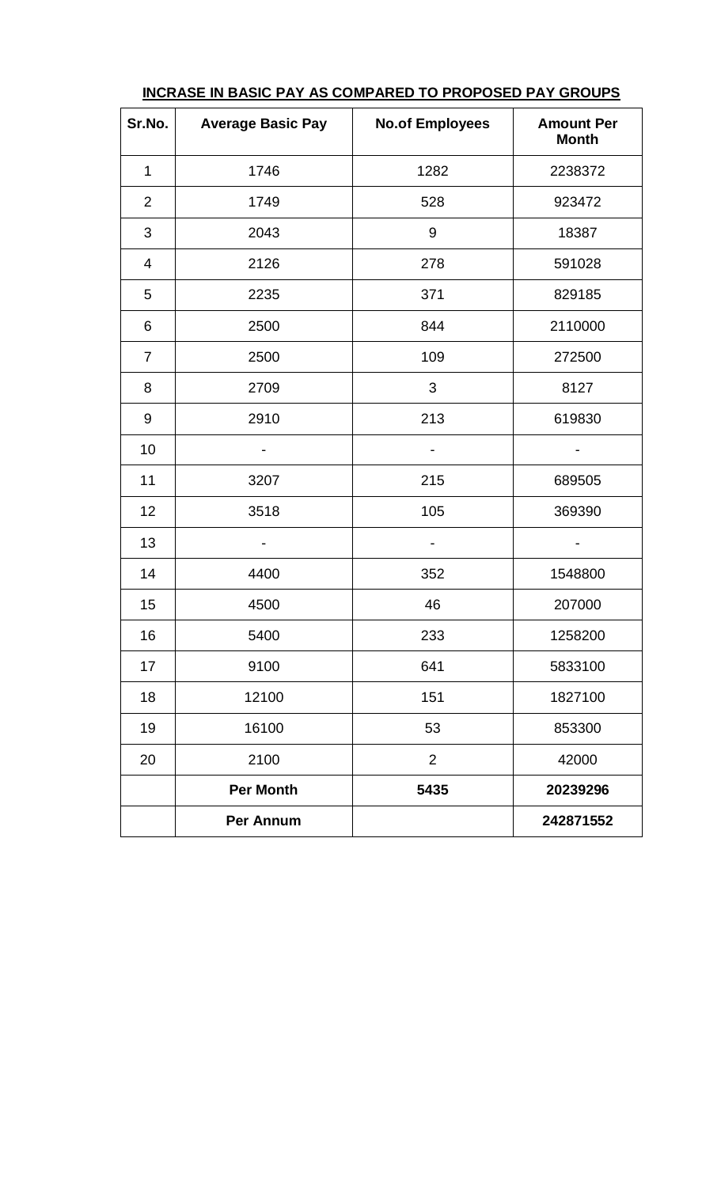| Sr.No.         | <b>Average Basic Pay</b> | <b>No.of Employees</b> | <b>Amount Per</b><br><b>Month</b> |
|----------------|--------------------------|------------------------|-----------------------------------|
| $\mathbf 1$    | 1746                     | 1282                   | 2238372                           |
| $\overline{2}$ | 1749                     | 528                    | 923472                            |
| 3              | 2043                     | 9                      | 18387                             |
| 4              | 2126                     | 278                    | 591028                            |
| 5              | 2235                     | 371                    | 829185                            |
| 6              | 2500                     | 844                    | 2110000                           |
| $\overline{7}$ | 2500                     | 109                    | 272500                            |
| 8              | 2709                     | $\mathfrak{S}$         | 8127                              |
| 9              | 2910                     | 213                    | 619830                            |
| 10             |                          |                        |                                   |
| 11             | 3207                     | 215                    | 689505                            |
| 12             | 3518                     | 105                    | 369390                            |
| 13             |                          |                        |                                   |
| 14             | 4400                     | 352                    | 1548800                           |
| 15             | 4500                     | 46                     | 207000                            |
| 16             | 5400                     | 233                    | 1258200                           |
| 17             | 9100                     | 641                    | 5833100                           |
| 18             | 12100                    | 151                    | 1827100                           |
| 19             | 16100                    | 53                     | 853300                            |
| 20             | 2100                     | $\overline{2}$         | 42000                             |
|                | <b>Per Month</b>         | 5435                   | 20239296                          |
|                | <b>Per Annum</b>         |                        | 242871552                         |

**INCRASE IN BASIC PAY AS COMPARED TO PROPOSED PAY GROUPS**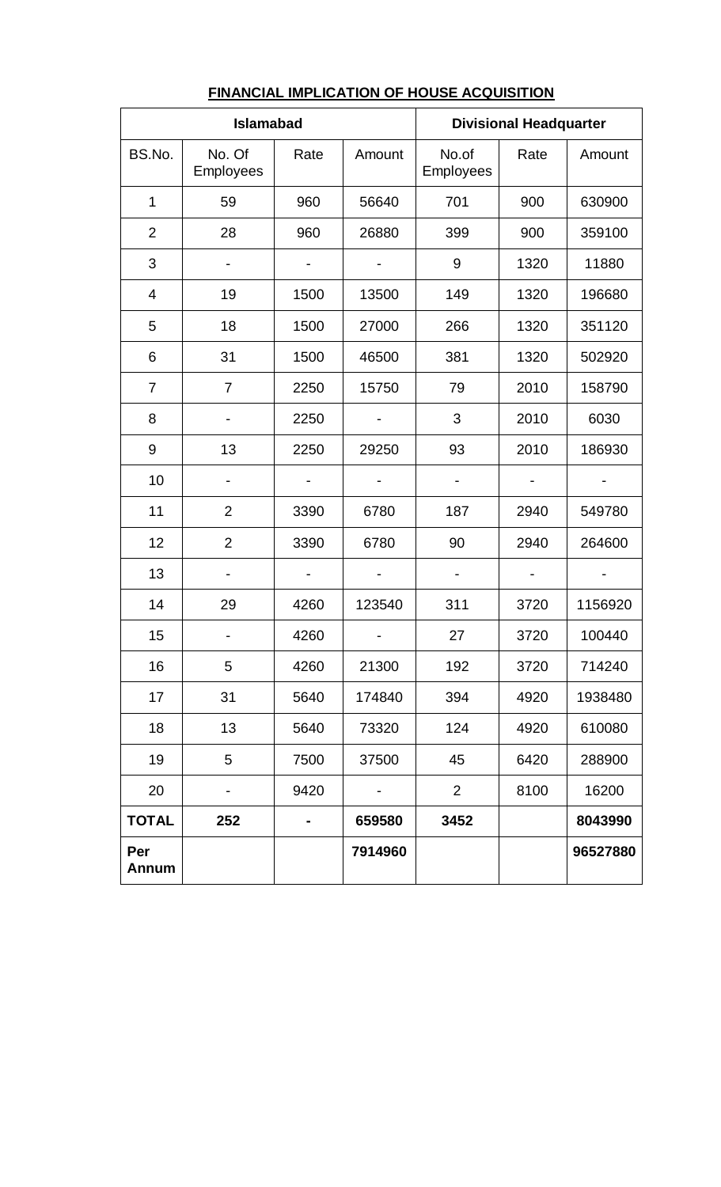| <b>Islamabad</b>    |                     |      | <b>Divisional Headquarter</b> |                    |      |          |
|---------------------|---------------------|------|-------------------------------|--------------------|------|----------|
| BS.No.              | No. Of<br>Employees | Rate | Amount                        | No.of<br>Employees | Rate | Amount   |
| 1                   | 59                  | 960  | 56640                         | 701                | 900  | 630900   |
| $\overline{2}$      | 28                  | 960  | 26880                         | 399                | 900  | 359100   |
| 3                   |                     |      |                               | 9                  | 1320 | 11880    |
| $\overline{4}$      | 19                  | 1500 | 13500                         | 149                | 1320 | 196680   |
| 5                   | 18                  | 1500 | 27000                         | 266                | 1320 | 351120   |
| 6                   | 31                  | 1500 | 46500                         | 381                | 1320 | 502920   |
| 7                   | $\overline{7}$      | 2250 | 15750                         | 79                 | 2010 | 158790   |
| 8                   |                     | 2250 |                               | 3                  | 2010 | 6030     |
| 9                   | 13                  | 2250 | 29250                         | 93                 | 2010 | 186930   |
| 10                  |                     |      |                               |                    |      |          |
| 11                  | $\overline{2}$      | 3390 | 6780                          | 187                | 2940 | 549780   |
| 12                  | $\overline{2}$      | 3390 | 6780                          | 90                 | 2940 | 264600   |
| 13                  |                     |      |                               |                    |      |          |
| 14                  | 29                  | 4260 | 123540                        | 311                | 3720 | 1156920  |
| 15                  |                     | 4260 |                               | 27                 | 3720 | 100440   |
| 16                  | 5                   | 4260 | 21300                         | 192                | 3720 | 714240   |
| 17                  | 31                  | 5640 | 174840                        | 394                | 4920 | 1938480  |
| 18                  | 13                  | 5640 | 73320                         | 124                | 4920 | 610080   |
| 19                  | 5                   | 7500 | 37500                         | 45                 | 6420 | 288900   |
| 20                  |                     | 9420 |                               | $\overline{2}$     | 8100 | 16200    |
| <b>TOTAL</b>        | 252                 |      | 659580                        | 3452               |      | 8043990  |
| Per<br><b>Annum</b> |                     |      | 7914960                       |                    |      | 96527880 |

# **FINANCIAL IMPLICATION OF HOUSE ACQUISITION**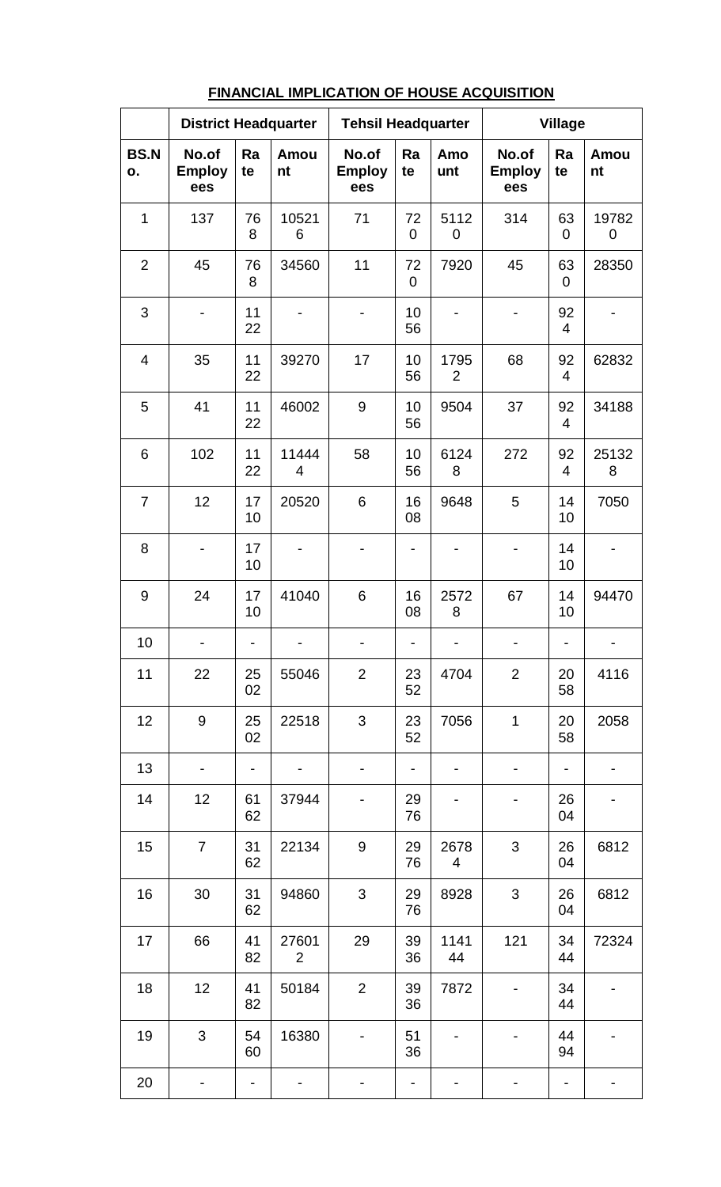|                   | <b>District Headquarter</b>   |          | <b>Tehsil Headquarter</b> |                               |                          | <b>Village</b>         |                               |                              |            |
|-------------------|-------------------------------|----------|---------------------------|-------------------------------|--------------------------|------------------------|-------------------------------|------------------------------|------------|
| <b>BS.N</b><br>ο. | No.of<br><b>Employ</b><br>ees | Ra<br>te | Amou<br>nt                | No.of<br><b>Employ</b><br>ees | Ra<br>te                 | Amo<br>unt             | No.of<br><b>Employ</b><br>ees | Ra<br>te                     | Amou<br>nt |
| 1                 | 137                           | 76<br>8  | 10521<br>6                | 71                            | 72<br>$\overline{0}$     | 5112<br>0              | 314                           | 63<br>$\overline{0}$         | 19782<br>0 |
| $\overline{2}$    | 45                            | 76<br>8  | 34560                     | 11                            | 72<br>$\mathbf 0$        | 7920                   | 45                            | 63<br>$\overline{0}$         | 28350      |
| 3                 |                               | 11<br>22 |                           |                               | 10<br>56                 |                        |                               | 92<br>$\overline{4}$         |            |
| $\overline{4}$    | 35                            | 11<br>22 | 39270                     | 17                            | 10<br>56                 | 1795<br>$\overline{2}$ | 68                            | 92<br>$\overline{4}$         | 62832      |
| 5                 | 41                            | 11<br>22 | 46002                     | 9                             | 10<br>56                 | 9504                   | 37                            | 92<br>$\overline{4}$         | 34188      |
| 6                 | 102                           | 11<br>22 | 11444<br>4                | 58                            | 10<br>56                 | 6124<br>8              | 272                           | 92<br>$\overline{4}$         | 25132<br>8 |
| $\overline{7}$    | 12                            | 17<br>10 | 20520                     | 6                             | 16<br>08                 | 9648                   | 5                             | 14<br>10                     | 7050       |
| 8                 |                               | 17<br>10 |                           | $\overline{a}$                | $\overline{\phantom{0}}$ |                        | $\qquad \qquad \blacksquare$  | 14<br>10                     |            |
| 9                 | 24                            | 17<br>10 | 41040                     | 6                             | 16<br>08                 | 2572<br>8              | 67                            | 14<br>10                     | 94470      |
| 10                |                               |          |                           |                               |                          |                        |                               | $\qquad \qquad \blacksquare$ |            |
| 11                | 22                            | 25<br>02 | 55046                     | $\overline{2}$                | 23<br>52                 | 4704                   | $\overline{2}$                | 20<br>58                     | 4116       |
| 12                | 9                             | 25<br>02 | 22518                     | 3                             | 23<br>52                 | 7056                   | $\mathbf 1$                   | 20<br>58                     | 2058       |
| 13                |                               | -        |                           |                               | ۰                        |                        |                               | $\overline{\phantom{0}}$     |            |
| 14                | 12                            | 61<br>62 | 37944                     |                               | 29<br>76                 |                        |                               | 26<br>04                     |            |
| 15                | $\overline{7}$                | 31<br>62 | 22134                     | 9                             | 29<br>76                 | 2678<br>4              | 3                             | 26<br>04                     | 6812       |
| 16                | 30                            | 31<br>62 | 94860                     | 3                             | 29<br>76                 | 8928                   | $\mathfrak{S}$                | 26<br>04                     | 6812       |
| 17                | 66                            | 41<br>82 | 27601<br>2                | 29                            | 39<br>36                 | 1141<br>44             | 121                           | 34<br>44                     | 72324      |
| 18                | 12                            | 41<br>82 | 50184                     | $\overline{2}$                | 39<br>36                 | 7872                   |                               | 34<br>44                     |            |
| 19                | 3                             | 54<br>60 | 16380                     |                               | 51<br>36                 |                        |                               | 44<br>94                     |            |
| 20                |                               |          |                           |                               |                          |                        |                               |                              |            |

## **FINANCIAL IMPLICATION OF HOUSE ACQUISITION**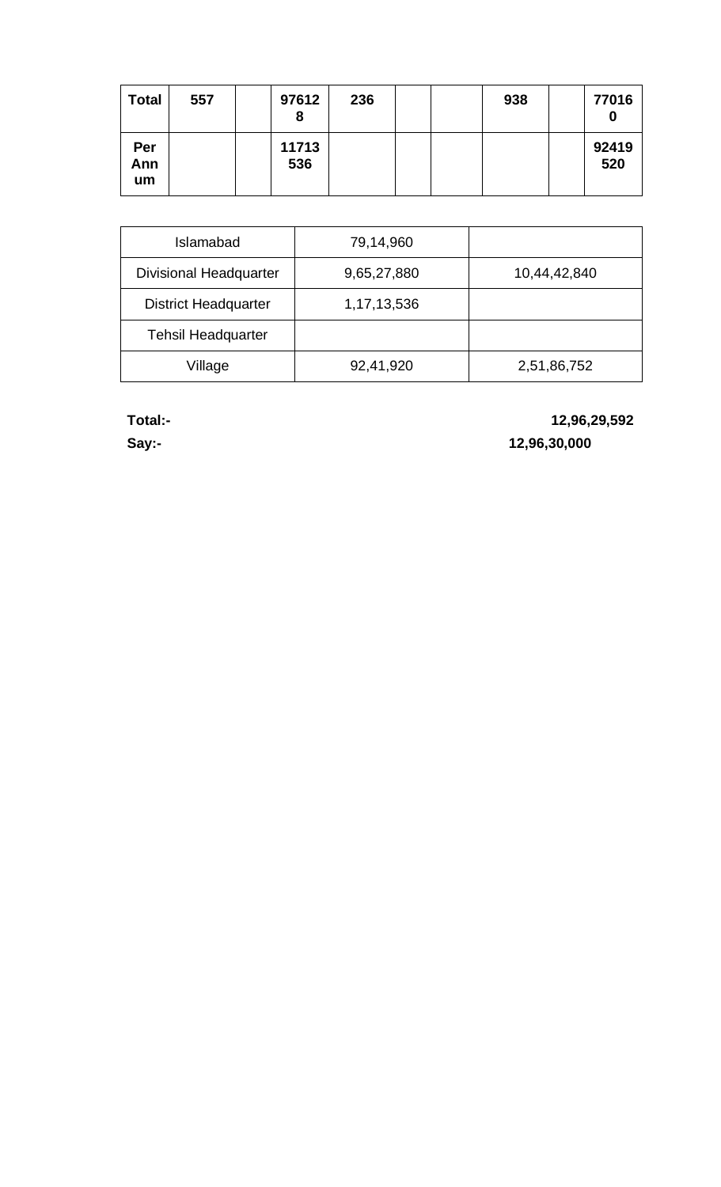| <b>Total</b>     | 557 | 97612<br>8   | 236 |  | 938 | 77016<br>$\bf{0}$ |
|------------------|-----|--------------|-----|--|-----|-------------------|
| Per<br>Ann<br>um |     | 11713<br>536 |     |  |     | 92419<br>520      |

| Islamabad                     | 79,14,960   |              |
|-------------------------------|-------------|--------------|
| <b>Divisional Headquarter</b> | 9,65,27,880 | 10,44,42,840 |
| <b>District Headquarter</b>   | 1,17,13,536 |              |
| <b>Tehsil Headquarter</b>     |             |              |
| Village                       | 92,41,920   | 2,51,86,752  |

**Total:- 12,96,29,592**

**Say:- 12,96,30,000**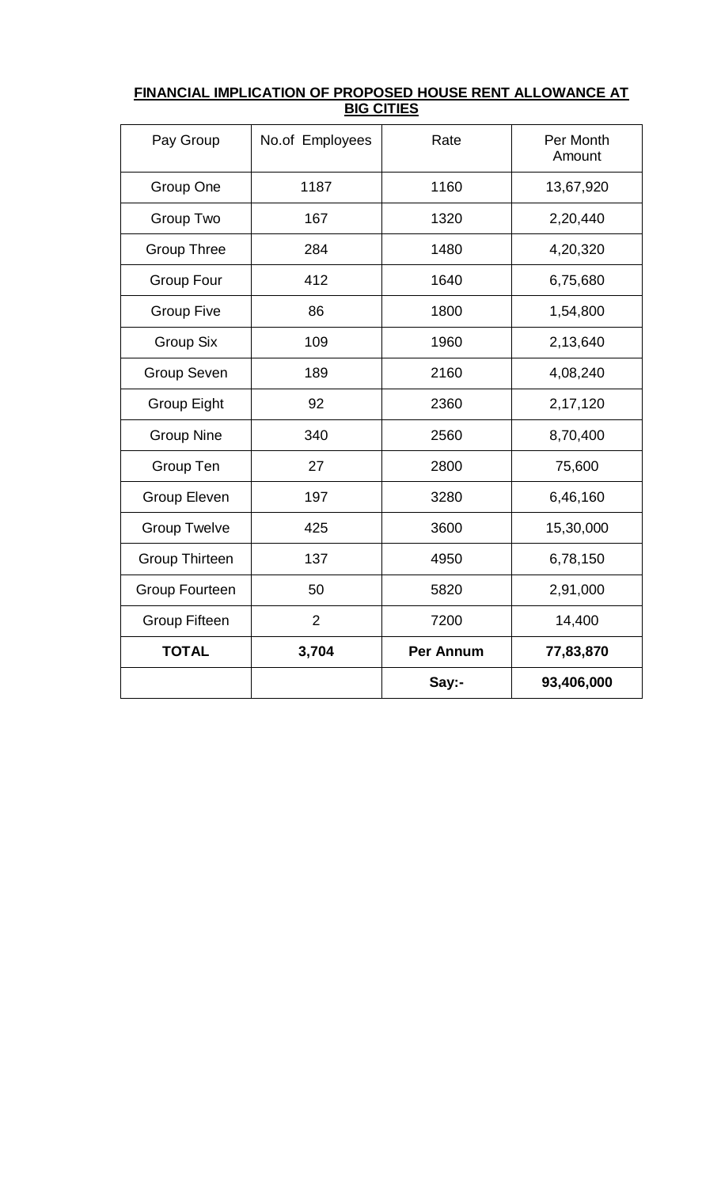| Pay Group             | No.of Employees | Rate      | Per Month<br>Amount |
|-----------------------|-----------------|-----------|---------------------|
| Group One             | 1187            | 1160      | 13,67,920           |
| Group Two             | 167             | 1320      | 2,20,440            |
| <b>Group Three</b>    | 284             | 1480      | 4,20,320            |
| <b>Group Four</b>     | 412             | 1640      | 6,75,680            |
| <b>Group Five</b>     | 86              | 1800      | 1,54,800            |
| <b>Group Six</b>      | 109             | 1960      | 2,13,640            |
| <b>Group Seven</b>    | 189             | 2160      | 4,08,240            |
| <b>Group Eight</b>    | 92              | 2360      | 2,17,120            |
| <b>Group Nine</b>     | 340             | 2560      | 8,70,400            |
| Group Ten             | 27              | 2800      | 75,600              |
| <b>Group Eleven</b>   | 197             | 3280      | 6,46,160            |
| <b>Group Twelve</b>   | 425             | 3600      | 15,30,000           |
| <b>Group Thirteen</b> | 137             | 4950      | 6,78,150            |
| <b>Group Fourteen</b> | 50              | 5820      | 2,91,000            |
| <b>Group Fifteen</b>  | $\overline{2}$  | 7200      | 14,400              |
| <b>TOTAL</b>          | 3,704           | Per Annum | 77,83,870           |
|                       |                 | Say:-     | 93,406,000          |

# **FINANCIAL IMPLICATION OF PROPOSED HOUSE RENT ALLOWANCE AT BIG CITIES**